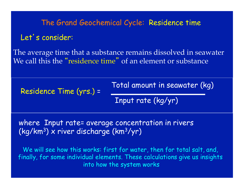# The Grand Geochemical Cycle: Residence time Let's consider:

The average time that a substance remains dissolved in seawater We call this the "residence time" of an element or substance

Residence Time (yrs.) =

Total amount in seawater (kg)

Input rate (kg/yr)

where Input rate= average concentration in rivers  $(kq/km^3)$  x river discharge (km<sup>3</sup>/yr)

We will see how this works: first for water, then for total salt, and, finally, for some individual elements. These calculations give us insights into how the system works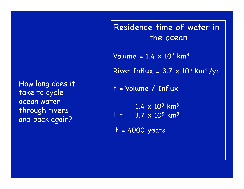## How long does it take to cycle ocean water through rivers and back again?

Residence time of water in the ocean Volume =  $1.4 \times 10^9$  km<sup>3</sup> River Influx =  $3.7 \times 10^5$  km<sup>3</sup> /yr t = Volume / Influx  $1.4 \times 10^{9}$  km<sup>3</sup>  $t = 3.7 \times 10^5$  km<sup>3</sup> t = 4000 years